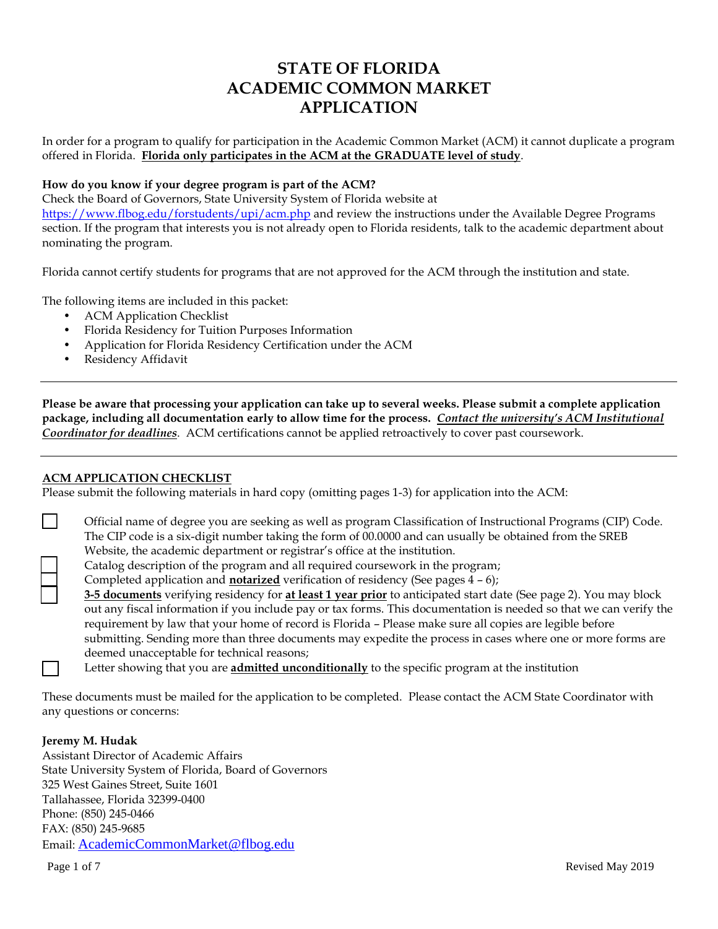# **STATE OF FLORIDA ACADEMIC COMMON MARKET APPLICATION**

In order for a program to qualify for participation in the Academic Common Market (ACM) it cannot duplicate a program offered in Florida. **Florida only participates in the ACM at the GRADUATE level of study**.

#### **How do you know if your degree program is part of the ACM?**

Check the Board of Governors, State University System of Florida website at <https://www.flbog.edu/forstudents/upi/acm.php> and review the instructions under the Available Degree Programs section. If the program that interests you is not already open to Florida residents, talk to the academic department about nominating the program.

Florida cannot certify students for programs that are not approved for the ACM through the institution and state.

The following items are included in this packet:

- ACM Application Checklist
- Florida Residency for Tuition Purposes Information
- Application for Florida Residency Certification under the ACM
- Residency Affidavit

**Please be aware that processing your application can take up to several weeks. Please submit a complete application package, including all documentation early to allow time for the process.** *Contact the university's ACM Institutional Coordinator for deadlines*. ACM certifications cannot be applied retroactively to cover past coursework.

#### **ACM APPLICATION CHECKLIST**

Please submit the following materials in hard copy (omitting pages 1-3) for application into the ACM:

Official name of degree you are seeking as well as program Classification of Instructional Programs (CIP) Code. The CIP code is a six-digit number taking the form of 00.0000 and can usually be obtained from the SREB Website, the academic department or registrar's office at the institution.

Catalog description of the program and all required coursework in the program;

Completed application and **notarized** verification of residency (See pages 4 – 6);

**3-5 documents** verifying residency for **at least 1 year prior** to anticipated start date (See page 2). You may block out any fiscal information if you include pay or tax forms. This documentation is needed so that we can verify the requirement by law that your home of record is Florida – Please make sure all copies are legible before submitting. Sending more than three documents may expedite the process in cases where one or more forms are deemed unacceptable for technical reasons;

Letter showing that you are **admitted unconditionally** to the specific program at the institution

These documents must be mailed for the application to be completed. Please contact the ACM State Coordinator with any questions or concerns:

#### **Jeremy M. Hudak**

Assistant Director of Academic Affairs State University System of Florida, Board of Governors 325 West Gaines Street, Suite 1601 Tallahassee, Florida 32399-0400 Phone: (850) 245-0466 FAX: (850) 245-9685 Email: [AcademicCommonMarket@flbog.edu](mailto:AcademicCommonMarket@flbog.edu)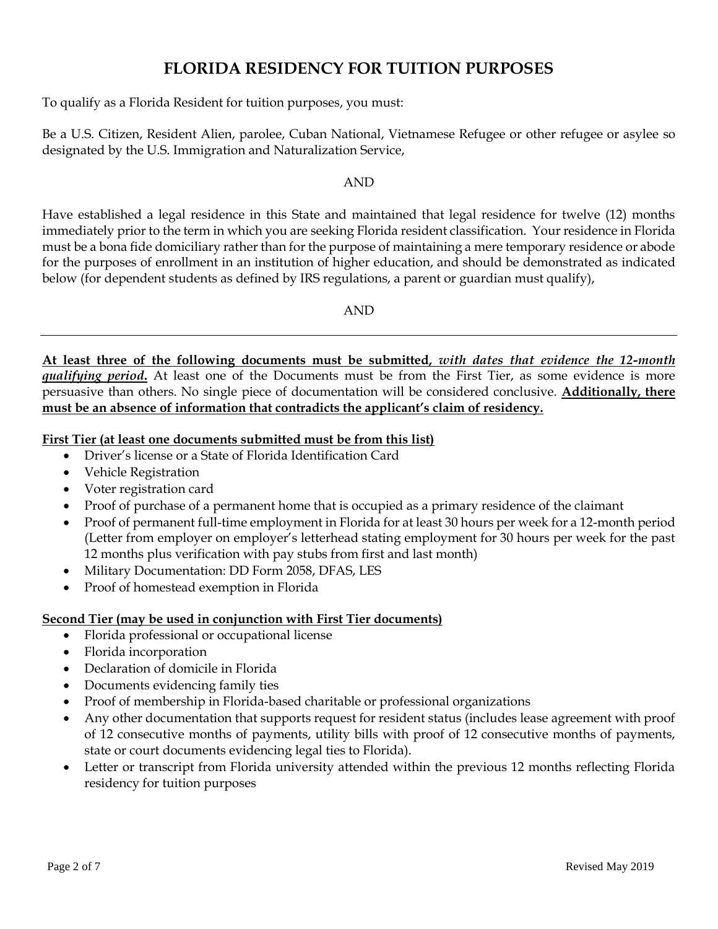# **FLORIDA RESIDENCY FOR TUITION PURPOSES**

To qualify as a Florida Resident for tuition purposes, you must:

Be a U.S. Citizen, Resident Alien, parolee, Cuban National, Vietnamese Refugee or other refugee or asylee so designated by the U.S. Immigration and Naturalization Service,

### AND

Have established a legal residence in this State and maintained that legal residence for twelve (12) months immediately prior to the term in which you are seeking Florida resident classification. Your residence in Florida must be a bona fide domiciliary rather than for the purpose of maintaining a mere temporary residence or abode for the purposes of enrollment in an institution of higher education, and should be demonstrated as indicated below (for dependent students as defined by IRS regulations, a parent or guardian must qualify),

AND

**At least three of the following documents must be submitted,** *with dates that evidence the 12-month qualifying period***.** At least one of the Documents must be from the First Tier, as some evidence is more persuasive than others. No single piece of documentation will be considered conclusive. **Additionally, there must be an absence of information that contradicts the applicant's claim of residency.**

## **First Tier (at least one documents submitted must be from this list)**

- Driver's license or a State of Florida Identification Card
- Vehicle Registration
- Voter registration card
- Proof of purchase of a permanent home that is occupied as a primary residence of the claimant
- Proof of permanent full-time employment in Florida for at least 30 hours per week for a 12-month period (Letter from employer on employer's letterhead stating employment for 30 hours per week for the past 12 months plus verification with pay stubs from first and last month)
- Military Documentation: DD Form 2058, DFAS, LES
- Proof of homestead exemption in Florida

## **Second Tier (may be used in conjunction with First Tier documents)**

- Florida professional or occupational license
- Florida incorporation
- Declaration of domicile in Florida
- Documents evidencing family ties
- Proof of membership in Florida-based charitable or professional organizations
- Any other documentation that supports request for resident status (includes lease agreement with proof of 12 consecutive months of payments, utility bills with proof of 12 consecutive months of payments, state or court documents evidencing legal ties to Florida).
- Letter or transcript from Florida university attended within the previous 12 months reflecting Florida residency for tuition purposes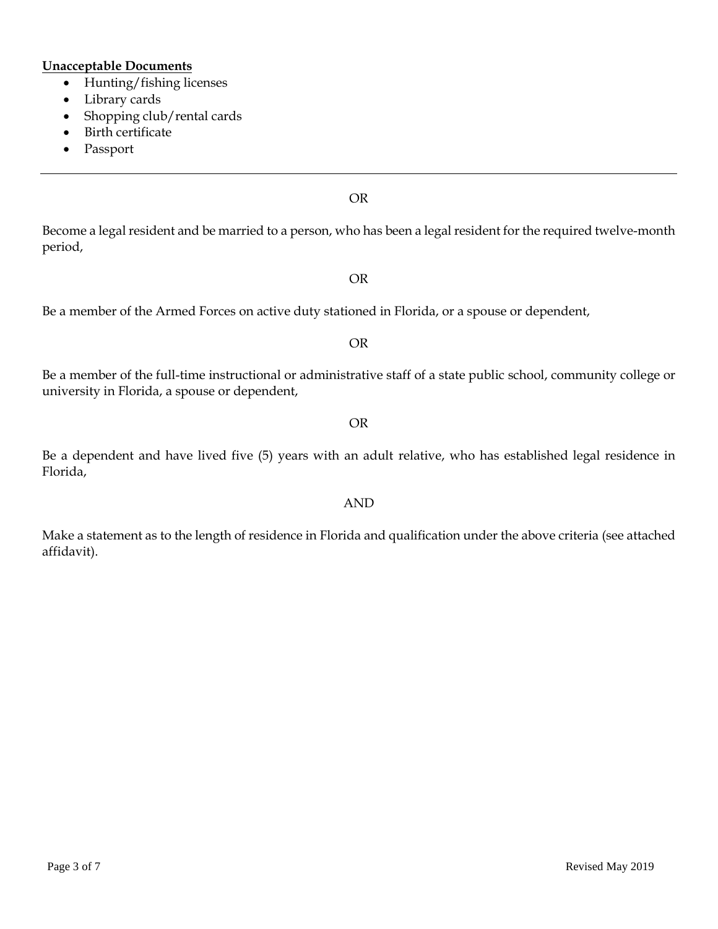## **Unacceptable Documents**

- Hunting/fishing licenses
- Library cards
- Shopping club/rental cards
- Birth certificate
- Passport

OR

Become a legal resident and be married to a person, who has been a legal resident for the required twelve-month period,

OR

Be a member of the Armed Forces on active duty stationed in Florida, or a spouse or dependent,

OR

Be a member of the full-time instructional or administrative staff of a state public school, community college or university in Florida, a spouse or dependent,

OR

Be a dependent and have lived five (5) years with an adult relative, who has established legal residence in Florida,

AND

Make a statement as to the length of residence in Florida and qualification under the above criteria (see attached affidavit).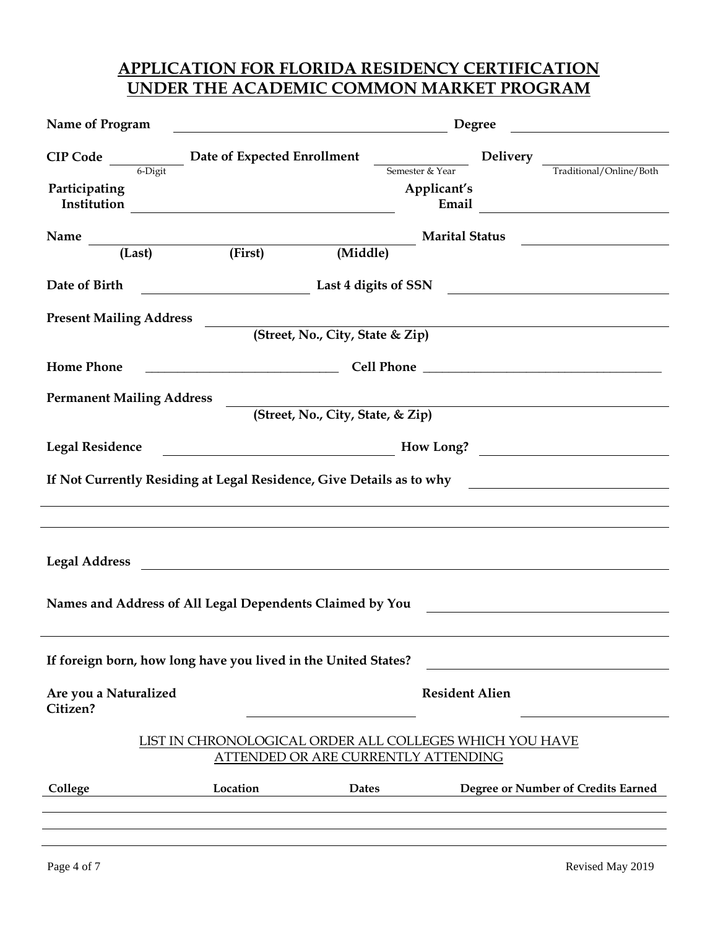# **APPLICATION FOR FLORIDA RESIDENCY CERTIFICATION UNDER THE ACADEMIC COMMON MARKET PROGRAM**

| Name of Program                                                                                                                                                                              |                                                                                                                        | Degree<br><u> 2008 - Andrea Andrew Maria (h. 1878).</u> |                                                                                                                                                                                                                                                    |  |
|----------------------------------------------------------------------------------------------------------------------------------------------------------------------------------------------|------------------------------------------------------------------------------------------------------------------------|---------------------------------------------------------|----------------------------------------------------------------------------------------------------------------------------------------------------------------------------------------------------------------------------------------------------|--|
|                                                                                                                                                                                              | <b>CIP Code</b> $\frac{ }{6\text{-Digit}}$ Date of Expected Enrollment $\frac{ }{5\text{emester & Year}}$ Delivery     |                                                         | Traditional/Online/Both                                                                                                                                                                                                                            |  |
| Participating                                                                                                                                                                                |                                                                                                                        | Applicant's<br>Email                                    | <u> 1989 - Andrea Barbara, poeta esp</u>                                                                                                                                                                                                           |  |
|                                                                                                                                                                                              | Name (Last) (First) (Middle)                                                                                           | <b>Marital Status</b>                                   |                                                                                                                                                                                                                                                    |  |
|                                                                                                                                                                                              |                                                                                                                        |                                                         |                                                                                                                                                                                                                                                    |  |
| Date of Birth                                                                                                                                                                                |                                                                                                                        |                                                         | and the same state of the state of SSN and the state of SSN and the state of SSN and the state of SSN and the state of SSN and the state of SSN and the state of SSN and the state of SSN and the state of SSN and the state o                     |  |
| <b>Present Mailing Address</b>                                                                                                                                                               |                                                                                                                        |                                                         |                                                                                                                                                                                                                                                    |  |
|                                                                                                                                                                                              |                                                                                                                        | (Street, No., City, State & Zip)                        |                                                                                                                                                                                                                                                    |  |
| <b>Home Phone</b>                                                                                                                                                                            |                                                                                                                        |                                                         | <b>Cell Phone</b> <u>Communication</u> Cell Phone <b>Communication</b> Cell Phone <b>Communication</b> Communication in the service of the service of the service of the service of the service of the service of the service of the service of th |  |
| <b>Permanent Mailing Address</b>                                                                                                                                                             |                                                                                                                        |                                                         |                                                                                                                                                                                                                                                    |  |
|                                                                                                                                                                                              |                                                                                                                        | (Street, No., City, State, & Zip)                       |                                                                                                                                                                                                                                                    |  |
| <b>Legal Residence</b>                                                                                                                                                                       |                                                                                                                        |                                                         | $\frac{1}{2}$ How Long?                                                                                                                                                                                                                            |  |
| If Not Currently Residing at Legal Residence, Give Details as to why<br><u> 1980 - Jan Stein Stein Stein Stein Stein Stein Stein Stein Stein Stein Stein Stein Stein Stein Stein Stein S</u> |                                                                                                                        |                                                         |                                                                                                                                                                                                                                                    |  |
|                                                                                                                                                                                              |                                                                                                                        |                                                         |                                                                                                                                                                                                                                                    |  |
| <b>Legal Address</b>                                                                                                                                                                         | <u> 1980 - Johann Stoff, fransk kongresu og den forske forske forske forske forske forske forske forske forske for</u> |                                                         |                                                                                                                                                                                                                                                    |  |
|                                                                                                                                                                                              |                                                                                                                        |                                                         |                                                                                                                                                                                                                                                    |  |
|                                                                                                                                                                                              | Names and Address of All Legal Dependents Claimed by You                                                               |                                                         | <u> 1989 - Johann Harry Harry Harry Harry Harry Harry Harry Harry Harry Harry Harry Harry Harry Harry Harry Harry</u>                                                                                                                              |  |
|                                                                                                                                                                                              |                                                                                                                        |                                                         |                                                                                                                                                                                                                                                    |  |
|                                                                                                                                                                                              | If foreign born, how long have you lived in the United States?                                                         |                                                         |                                                                                                                                                                                                                                                    |  |
| Are you a Naturalized<br>Citizen?                                                                                                                                                            |                                                                                                                        | <b>Resident Alien</b>                                   |                                                                                                                                                                                                                                                    |  |
| LIST IN CHRONOLOGICAL ORDER ALL COLLEGES WHICH YOU HAVE<br>ATTENDED OR ARE CURRENTLY ATTENDING                                                                                               |                                                                                                                        |                                                         |                                                                                                                                                                                                                                                    |  |
| College                                                                                                                                                                                      | Location                                                                                                               | <b>Dates</b>                                            | Degree or Number of Credits Earned                                                                                                                                                                                                                 |  |
|                                                                                                                                                                                              |                                                                                                                        |                                                         |                                                                                                                                                                                                                                                    |  |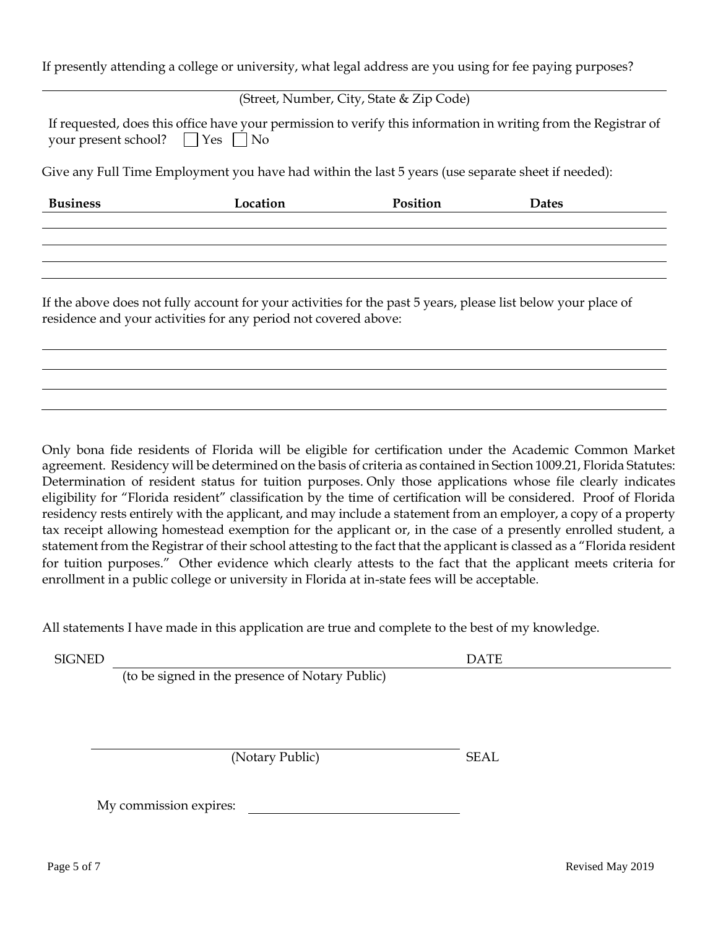If presently attending a college or university, what legal address are you using for fee paying purposes?

(Street, Number, City, State & Zip Code)

|                                           | If requested, does this office have your permission to verify this information in writing from the Registrar of |
|-------------------------------------------|-----------------------------------------------------------------------------------------------------------------|
| your present school? $\Box$ Yes $\Box$ No |                                                                                                                 |

Give any Full Time Employment you have had within the last 5 years (use separate sheet if needed):

| <b>Business</b> | Location                                                                                                      | Position | Dates |  |
|-----------------|---------------------------------------------------------------------------------------------------------------|----------|-------|--|
|                 |                                                                                                               |          |       |  |
|                 |                                                                                                               |          |       |  |
|                 |                                                                                                               |          |       |  |
|                 |                                                                                                               |          |       |  |
|                 | If the above does not fully account for your activities for the past 5 years, please list below your place of |          |       |  |

Only bona fide residents of Florida will be eligible for certification under the Academic Common Market agreement. Residency will be determined on the basis of criteria as contained in Section 1009.21, Florida Statutes: Determination of resident status for tuition purposes. Only those applications whose file clearly indicates eligibility for "Florida resident" classification by the time of certification will be considered. Proof of Florida residency rests entirely with the applicant, and may include a statement from an employer, a copy of a property tax receipt allowing homestead exemption for the applicant or, in the case of a presently enrolled student, a statement from the Registrar of their school attesting to the fact that the applicant is classed as a "Florida resident for tuition purposes." Other evidence which clearly attests to the fact that the applicant meets criteria for enrollment in a public college or university in Florida at in-state fees will be acceptable.

All statements I have made in this application are true and complete to the best of my knowledge.

SIGNED DATE

(to be signed in the presence of Notary Public)

residence and your activities for any period not covered above:

(Notary Public) SEAL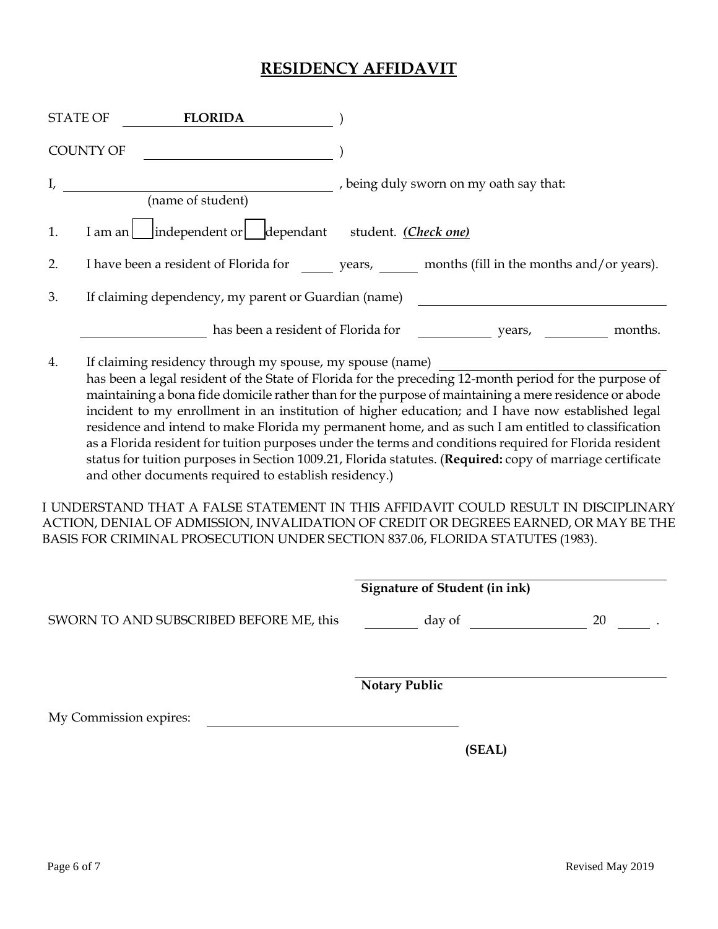# **RESIDENCY AFFIDAVIT**

| <b>STATE OF</b>                                                                                                                                                                                                                                                                                                                                                                                                                                                                                                                                                                                                                                                                                                                                                                                                                                                                                                                                                                                                                                | <b>FLORIDA</b>                                                                         |                                    |                                         |                                      |                |    |
|------------------------------------------------------------------------------------------------------------------------------------------------------------------------------------------------------------------------------------------------------------------------------------------------------------------------------------------------------------------------------------------------------------------------------------------------------------------------------------------------------------------------------------------------------------------------------------------------------------------------------------------------------------------------------------------------------------------------------------------------------------------------------------------------------------------------------------------------------------------------------------------------------------------------------------------------------------------------------------------------------------------------------------------------|----------------------------------------------------------------------------------------|------------------------------------|-----------------------------------------|--------------------------------------|----------------|----|
|                                                                                                                                                                                                                                                                                                                                                                                                                                                                                                                                                                                                                                                                                                                                                                                                                                                                                                                                                                                                                                                | <b>COUNTY OF</b>                                                                       |                                    |                                         |                                      |                |    |
| I,                                                                                                                                                                                                                                                                                                                                                                                                                                                                                                                                                                                                                                                                                                                                                                                                                                                                                                                                                                                                                                             |                                                                                        | (name of student)                  | , being duly sworn on my oath say that: |                                      |                |    |
| 1.                                                                                                                                                                                                                                                                                                                                                                                                                                                                                                                                                                                                                                                                                                                                                                                                                                                                                                                                                                                                                                             | I am an independent or dependant student. (Check one)                                  |                                    |                                         |                                      |                |    |
| 2.                                                                                                                                                                                                                                                                                                                                                                                                                                                                                                                                                                                                                                                                                                                                                                                                                                                                                                                                                                                                                                             | I have been a resident of Florida for years, months (fill in the months and/or years). |                                    |                                         |                                      |                |    |
| 3.                                                                                                                                                                                                                                                                                                                                                                                                                                                                                                                                                                                                                                                                                                                                                                                                                                                                                                                                                                                                                                             | If claiming dependency, my parent or Guardian (name)                                   |                                    |                                         |                                      |                |    |
|                                                                                                                                                                                                                                                                                                                                                                                                                                                                                                                                                                                                                                                                                                                                                                                                                                                                                                                                                                                                                                                |                                                                                        | has been a resident of Florida for |                                         |                                      | years, months. |    |
| If claiming residency through my spouse, my spouse (name)<br>4.<br>has been a legal resident of the State of Florida for the preceding 12-month period for the purpose of<br>maintaining a bona fide domicile rather than for the purpose of maintaining a mere residence or abode<br>incident to my enrollment in an institution of higher education; and I have now established legal<br>residence and intend to make Florida my permanent home, and as such I am entitled to classification<br>as a Florida resident for tuition purposes under the terms and conditions required for Florida resident<br>status for tuition purposes in Section 1009.21, Florida statutes. (Required: copy of marriage certificate<br>and other documents required to establish residency.)<br>I UNDERSTAND THAT A FALSE STATEMENT IN THIS AFFIDAVIT COULD RESULT IN DISCIPLINARY<br>ACTION, DENIAL OF ADMISSION, INVALIDATION OF CREDIT OR DEGREES EARNED, OR MAY BE THE<br>BASIS FOR CRIMINAL PROSECUTION UNDER SECTION 837.06, FLORIDA STATUTES (1983). |                                                                                        |                                    |                                         |                                      |                |    |
|                                                                                                                                                                                                                                                                                                                                                                                                                                                                                                                                                                                                                                                                                                                                                                                                                                                                                                                                                                                                                                                |                                                                                        |                                    |                                         | <b>Signature of Student (in ink)</b> |                |    |
|                                                                                                                                                                                                                                                                                                                                                                                                                                                                                                                                                                                                                                                                                                                                                                                                                                                                                                                                                                                                                                                | SWORN TO AND SUBSCRIBED BEFORE ME, this                                                |                                    |                                         | day of                               |                | 20 |
|                                                                                                                                                                                                                                                                                                                                                                                                                                                                                                                                                                                                                                                                                                                                                                                                                                                                                                                                                                                                                                                |                                                                                        |                                    | <b>Notary Public</b>                    |                                      |                |    |
|                                                                                                                                                                                                                                                                                                                                                                                                                                                                                                                                                                                                                                                                                                                                                                                                                                                                                                                                                                                                                                                | My Commission expires:                                                                 |                                    |                                         |                                      |                |    |

**(SEAL)**